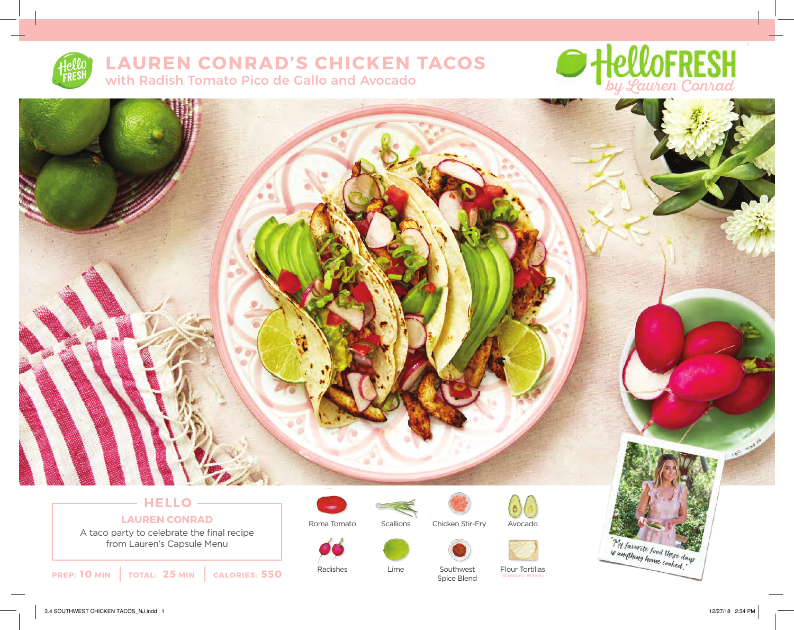

# **LAUREN CONRAD'S CHICKEN TACOS** with Radish Tomato Pico de Gallo and Avocado



## **HELLO LAUREN CONRAD** A taco party to celebrate the final recipe

from Lauren's Capsule Menu

**PREP: 10 MIN TOTAL: 25 MIN CALORIES: 550**



Radishes





Lime



Southwest Spice Blend



Avocado

Flour Tortillas (Contains: Wheat)

"My favorite food these days"<br>is anything home cooked,"